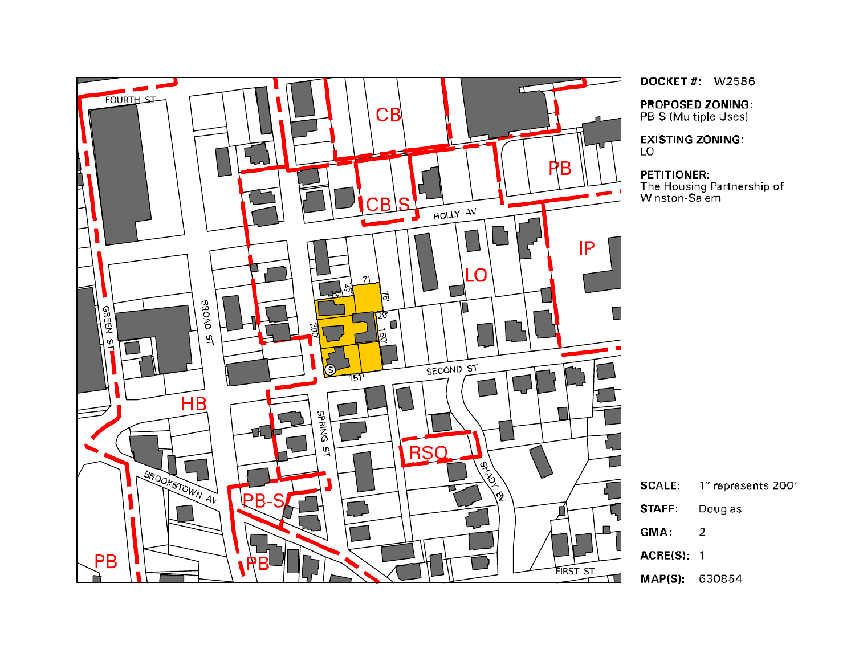

DOCKET#: W2586

**PROPOSED ZONING:** PB-S (Multiple Uses)

**EXISTING ZONING:** LO

**PETITIONER:** The Housing Partnership of<br>Winston-Salem

**SCALE:** 1" represents 200'

- **STAFF** Douglas
- GMA:  $\overline{2}$
- $ACRE(S): 1$
- MAP(S): 630854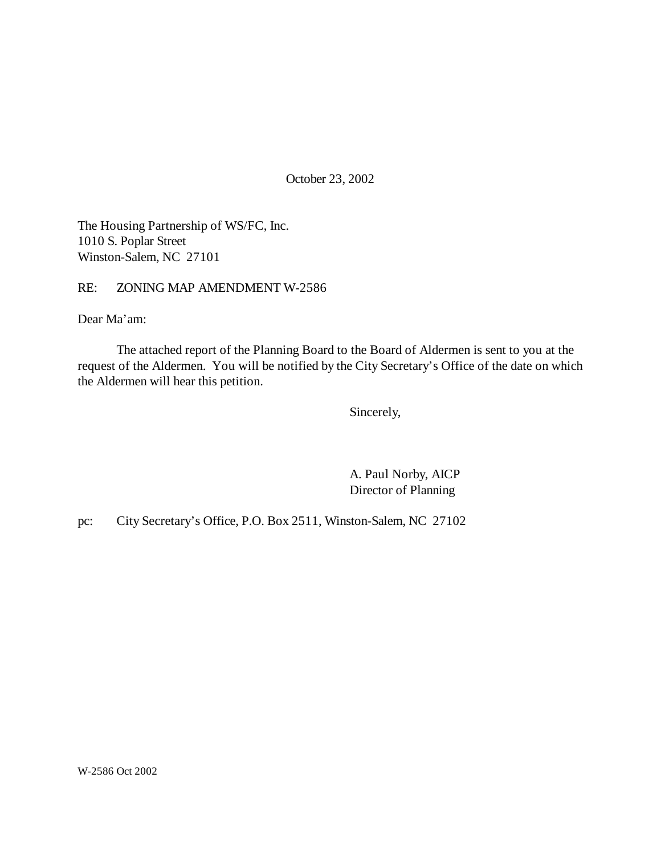October 23, 2002

The Housing Partnership of WS/FC, Inc. 1010 S. Poplar Street Winston-Salem, NC 27101

RE: ZONING MAP AMENDMENT W-2586

Dear Ma'am:

The attached report of the Planning Board to the Board of Aldermen is sent to you at the request of the Aldermen. You will be notified by the City Secretary's Office of the date on which the Aldermen will hear this petition.

Sincerely,

A. Paul Norby, AICP Director of Planning

pc: City Secretary's Office, P.O. Box 2511, Winston-Salem, NC 27102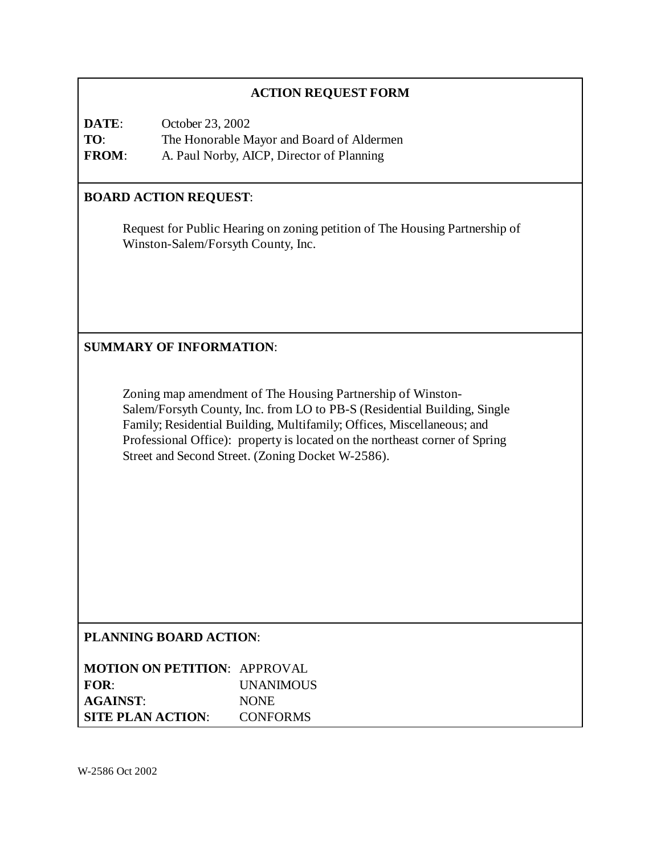### **ACTION REQUEST FORM**

**DATE**: October 23, 2002 **TO**: The Honorable Mayor and Board of Aldermen **FROM**: A. Paul Norby, AICP, Director of Planning

### **BOARD ACTION REQUEST**:

Request for Public Hearing on zoning petition of The Housing Partnership of Winston-Salem/Forsyth County, Inc.

**SUMMARY OF INFORMATION**:

Zoning map amendment of The Housing Partnership of Winston-Salem/Forsyth County, Inc. from LO to PB-S (Residential Building, Single Family; Residential Building, Multifamily; Offices, Miscellaneous; and Professional Office): property is located on the northeast corner of Spring Street and Second Street. (Zoning Docket W-2586).

### **PLANNING BOARD ACTION**:

| <b>MOTION ON PETITION: APPROVAL</b> |                  |
|-------------------------------------|------------------|
| FOR:                                | <b>UNANIMOUS</b> |
| <b>AGAINST:</b>                     | <b>NONE</b>      |
| <b>SITE PLAN ACTION:</b>            | <b>CONFORMS</b>  |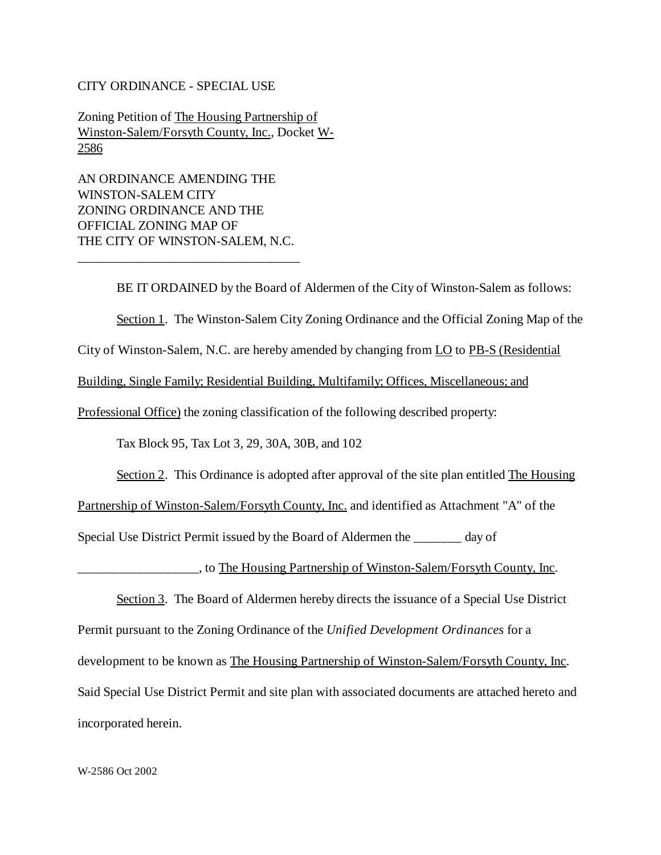#### CITY ORDINANCE - SPECIAL USE

Zoning Petition of The Housing Partnership of Winston-Salem/Forsyth County, Inc., Docket W-2586

AN ORDINANCE AMENDING THE WINSTON-SALEM CITY ZONING ORDINANCE AND THE OFFICIAL ZONING MAP OF THE CITY OF WINSTON-SALEM, N.C.

\_\_\_\_\_\_\_\_\_\_\_\_\_\_\_\_\_\_\_\_\_\_\_\_\_\_\_\_\_\_\_\_\_

BE IT ORDAINED by the Board of Aldermen of the City of Winston-Salem as follows:

Section 1. The Winston-Salem City Zoning Ordinance and the Official Zoning Map of the

City of Winston-Salem, N.C. are hereby amended by changing from LO to PB-S (Residential

Building, Single Family; Residential Building, Multifamily; Offices, Miscellaneous; and

Professional Office) the zoning classification of the following described property:

Tax Block 95, Tax Lot 3, 29, 30A, 30B, and 102

Section 2. This Ordinance is adopted after approval of the site plan entitled The Housing

Partnership of Winston-Salem/Forsyth County, Inc. and identified as Attachment "A" of the

Special Use District Permit issued by the Board of Aldermen the \_\_\_\_\_\_\_ day of

<u>\_\_\_\_\_\_</u>, to The Housing Partnership of Winston-Salem/Forsyth County, Inc.

Section 3. The Board of Aldermen hereby directs the issuance of a Special Use District Permit pursuant to the Zoning Ordinance of the *Unified Development Ordinances* for a development to be known as The Housing Partnership of Winston-Salem/Forsyth County, Inc. Said Special Use District Permit and site plan with associated documents are attached hereto and incorporated herein.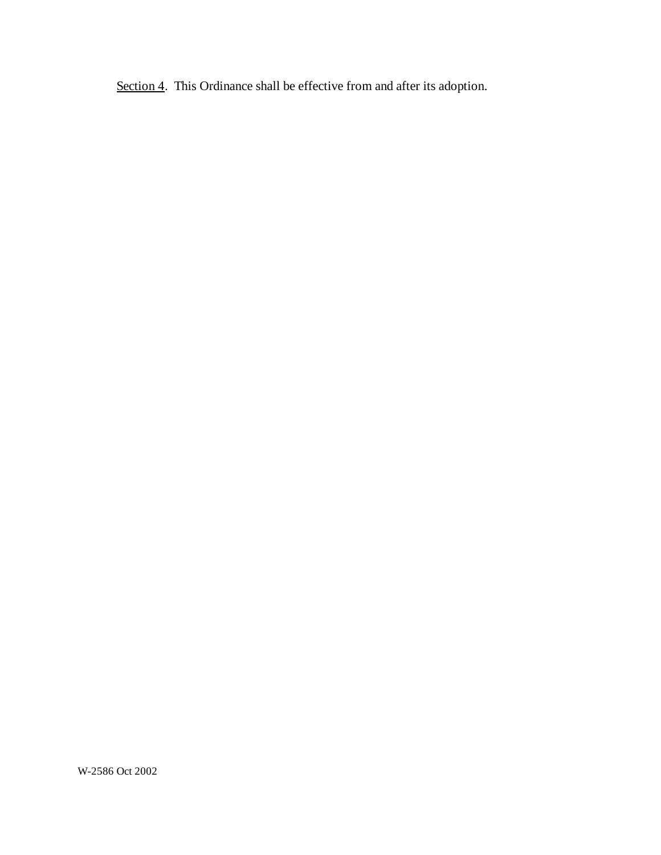Section 4. This Ordinance shall be effective from and after its adoption.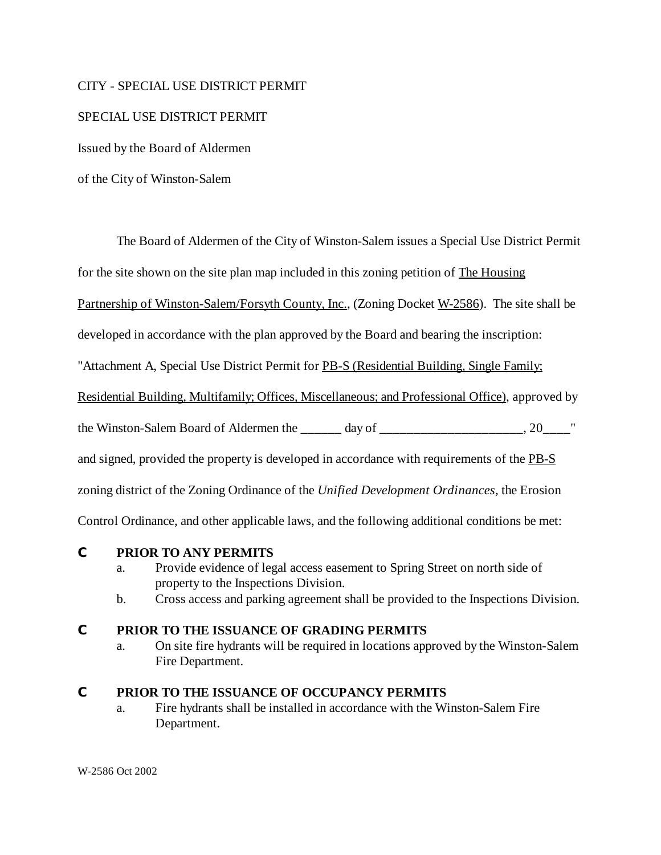#### CITY - SPECIAL USE DISTRICT PERMIT

#### SPECIAL USE DISTRICT PERMIT

Issued by the Board of Aldermen

of the City of Winston-Salem

The Board of Aldermen of the City of Winston-Salem issues a Special Use District Permit

for the site shown on the site plan map included in this zoning petition of The Housing

Partnership of Winston-Salem/Forsyth County, Inc., (Zoning Docket W-2586). The site shall be

developed in accordance with the plan approved by the Board and bearing the inscription:

"Attachment A, Special Use District Permit for PB-S (Residential Building, Single Family;

Residential Building, Multifamily; Offices, Miscellaneous; and Professional Office), approved by

the Winston-Salem Board of Aldermen the day of  $\qquad \qquad$ , 20

and signed, provided the property is developed in accordance with requirements of the PB-S

zoning district of the Zoning Ordinance of the *Unified Development Ordinances*, the Erosion

Control Ordinance, and other applicable laws, and the following additional conditions be met:

#### **C PRIOR TO ANY PERMITS**

- a. Provide evidence of legal access easement to Spring Street on north side of property to the Inspections Division.
- b. Cross access and parking agreement shall be provided to the Inspections Division.

### **C PRIOR TO THE ISSUANCE OF GRADING PERMITS**

a. On site fire hydrants will be required in locations approved by the Winston-Salem Fire Department.

#### **C PRIOR TO THE ISSUANCE OF OCCUPANCY PERMITS**

a. Fire hydrants shall be installed in accordance with the Winston-Salem Fire Department.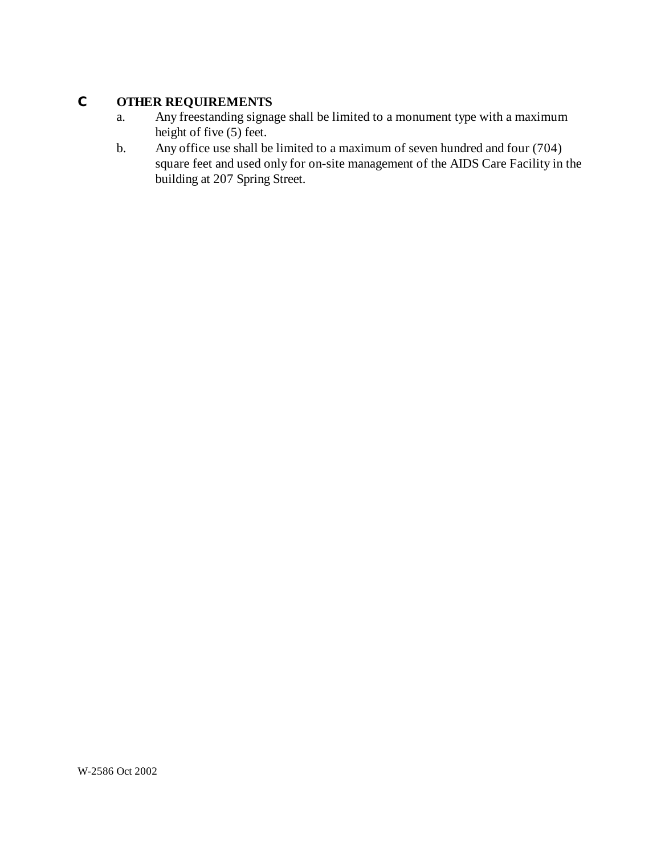# **C OTHER REQUIREMENTS**

- a. Any freestanding signage shall be limited to a monument type with a maximum height of five (5) feet.
- b. Any office use shall be limited to a maximum of seven hundred and four (704) square feet and used only for on-site management of the AIDS Care Facility in the building at 207 Spring Street.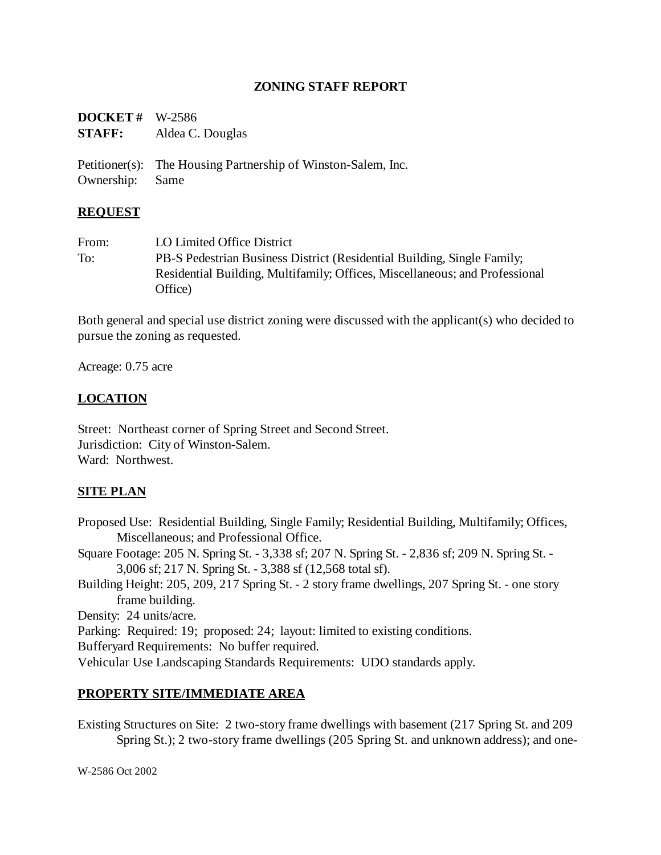### **ZONING STAFF REPORT**

| <b>DOCKET</b> # W-2586 |                  |
|------------------------|------------------|
| <b>STAFF:</b>          | Aldea C. Douglas |

Petitioner(s): The Housing Partnership of Winston-Salem, Inc. Ownership: Same

#### **REQUEST**

From: LO Limited Office District To: PB-S Pedestrian Business District (Residential Building, Single Family; Residential Building, Multifamily; Offices, Miscellaneous; and Professional Office)

Both general and special use district zoning were discussed with the applicant(s) who decided to pursue the zoning as requested.

Acreage: 0.75 acre

### **LOCATION**

Street: Northeast corner of Spring Street and Second Street. Jurisdiction: City of Winston-Salem. Ward: Northwest.

#### **SITE PLAN**

Proposed Use: Residential Building, Single Family; Residential Building, Multifamily; Offices, Miscellaneous; and Professional Office. Square Footage: 205 N. Spring St. - 3,338 sf; 207 N. Spring St. - 2,836 sf; 209 N. Spring St. - 3,006 sf; 217 N. Spring St. - 3,388 sf (12,568 total sf). Building Height: 205, 209, 217 Spring St. - 2 story frame dwellings, 207 Spring St. - one story frame building. Density: 24 units/acre. Parking: Required: 19; proposed: 24; layout: limited to existing conditions. Bufferyard Requirements: No buffer required.

Vehicular Use Landscaping Standards Requirements: UDO standards apply.

#### **PROPERTY SITE/IMMEDIATE AREA**

Existing Structures on Site: 2 two-story frame dwellings with basement (217 Spring St. and 209 Spring St.); 2 two-story frame dwellings (205 Spring St. and unknown address); and one-

W-2586 Oct 2002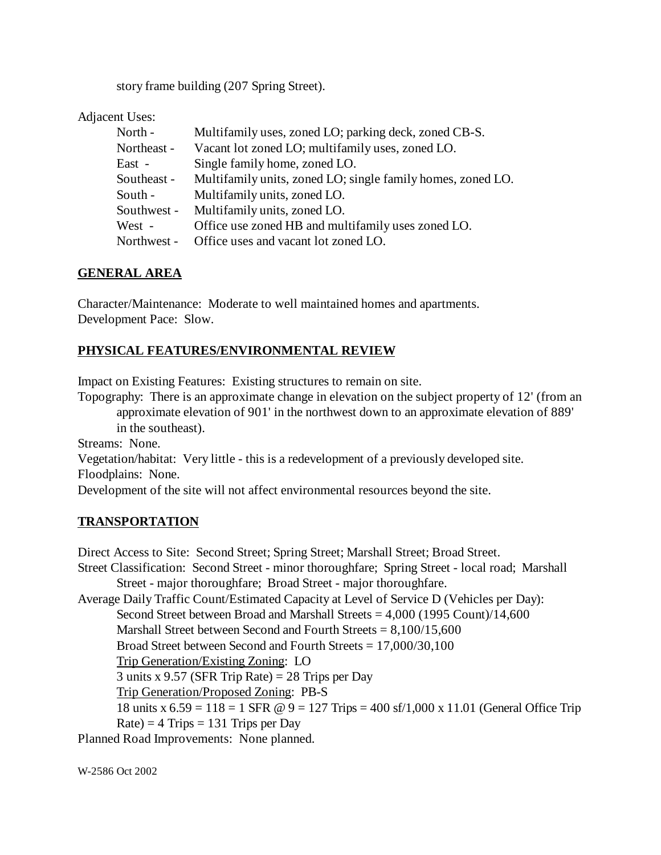story frame building (207 Spring Street).

Adjacent Uses:

| North -     | Multifamily uses, zoned LO; parking deck, zoned CB-S.       |
|-------------|-------------------------------------------------------------|
| Northeast - | Vacant lot zoned LO; multifamily uses, zoned LO.            |
| East -      | Single family home, zoned LO.                               |
| Southeast - | Multifamily units, zoned LO; single family homes, zoned LO. |
| South -     | Multifamily units, zoned LO.                                |
| Southwest - | Multifamily units, zoned LO.                                |
| West -      | Office use zoned HB and multifamily uses zoned LO.          |
| Northwest - | Office uses and vacant lot zoned LO.                        |

### **GENERAL AREA**

Character/Maintenance: Moderate to well maintained homes and apartments. Development Pace: Slow.

## **PHYSICAL FEATURES/ENVIRONMENTAL REVIEW**

Impact on Existing Features: Existing structures to remain on site.

Topography: There is an approximate change in elevation on the subject property of 12' (from an approximate elevation of 901' in the northwest down to an approximate elevation of 889' in the southeast).

Streams: None.

Vegetation/habitat: Very little - this is a redevelopment of a previously developed site. Floodplains: None.

Development of the site will not affect environmental resources beyond the site.

## **TRANSPORTATION**

Direct Access to Site: Second Street; Spring Street; Marshall Street; Broad Street. Street Classification: Second Street - minor thoroughfare; Spring Street - local road; Marshall Street - major thoroughfare; Broad Street - major thoroughfare. Average Daily Traffic Count/Estimated Capacity at Level of Service D (Vehicles per Day): Second Street between Broad and Marshall Streets  $= 4,000$  (1995 Count)/14,600 Marshall Street between Second and Fourth Streets  $= 8,100/15,600$ Broad Street between Second and Fourth Streets = 17,000/30,100 Trip Generation/Existing Zoning: LO 3 units x 9.57 (SFR Trip Rate) =  $28$  Trips per Day Trip Generation/Proposed Zoning: PB-S 18 units x  $6.59 = 118 = 1$  SFR  $\omega$  9 = 127 Trips = 400 sf/1,000 x 11.01 (General Office Trip  $Rate$  = 4 Trips = 131 Trips per Day Planned Road Improvements: None planned.

W-2586 Oct 2002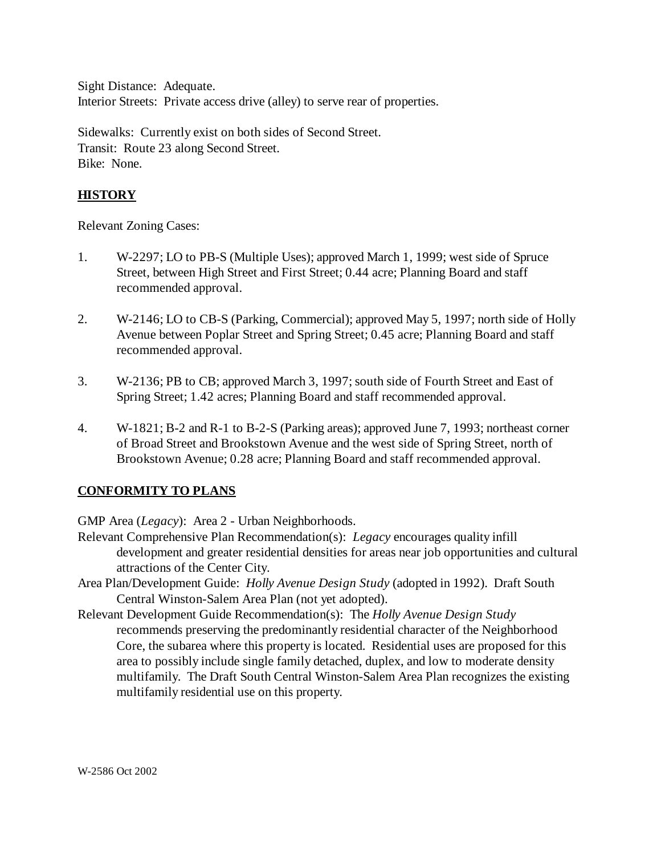Sight Distance: Adequate. Interior Streets: Private access drive (alley) to serve rear of properties.

Sidewalks: Currently exist on both sides of Second Street. Transit: Route 23 along Second Street. Bike: None.

## **HISTORY**

Relevant Zoning Cases:

- 1. W-2297; LO to PB-S (Multiple Uses); approved March 1, 1999; west side of Spruce Street, between High Street and First Street; 0.44 acre; Planning Board and staff recommended approval.
- 2. W-2146; LO to CB-S (Parking, Commercial); approved May 5, 1997; north side of Holly Avenue between Poplar Street and Spring Street; 0.45 acre; Planning Board and staff recommended approval.
- 3. W-2136; PB to CB; approved March 3, 1997; south side of Fourth Street and East of Spring Street; 1.42 acres; Planning Board and staff recommended approval.
- 4. W-1821; B-2 and R-1 to B-2-S (Parking areas); approved June 7, 1993; northeast corner of Broad Street and Brookstown Avenue and the west side of Spring Street, north of Brookstown Avenue; 0.28 acre; Planning Board and staff recommended approval.

## **CONFORMITY TO PLANS**

GMP Area (*Legacy*): Area 2 - Urban Neighborhoods.

- Relevant Comprehensive Plan Recommendation(s): *Legacy* encourages quality infill development and greater residential densities for areas near job opportunities and cultural attractions of the Center City.
- Area Plan/Development Guide: *Holly Avenue Design Study* (adopted in 1992). Draft South Central Winston-Salem Area Plan (not yet adopted).
- Relevant Development Guide Recommendation(s): The *Holly Avenue Design Study* recommends preserving the predominantly residential character of the Neighborhood Core, the subarea where this property is located. Residential uses are proposed for this area to possibly include single family detached, duplex, and low to moderate density multifamily. The Draft South Central Winston-Salem Area Plan recognizes the existing multifamily residential use on this property.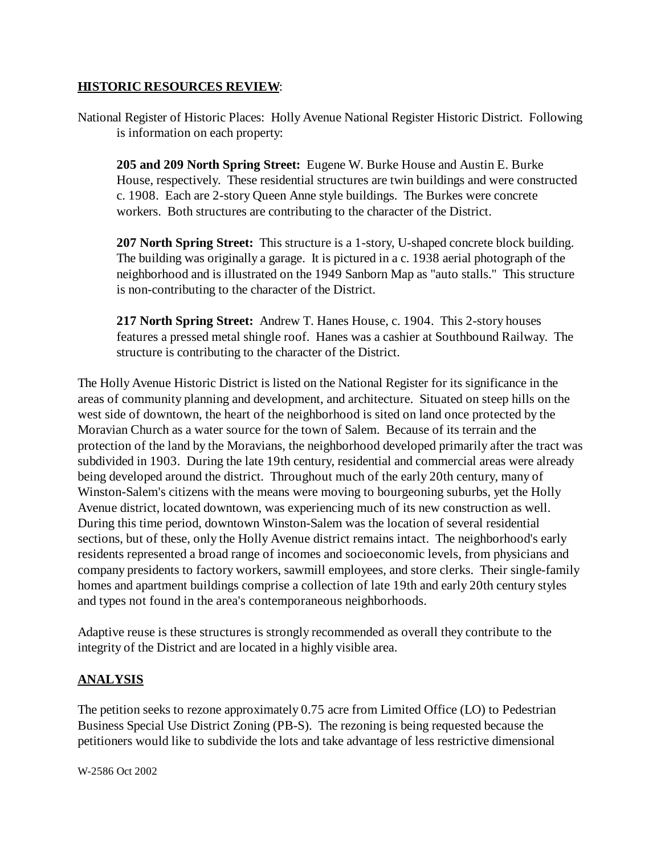#### **HISTORIC RESOURCES REVIEW**:

National Register of Historic Places: Holly Avenue National Register Historic District. Following is information on each property:

**205 and 209 North Spring Street:** Eugene W. Burke House and Austin E. Burke House, respectively. These residential structures are twin buildings and were constructed c. 1908. Each are 2-story Queen Anne style buildings. The Burkes were concrete workers. Both structures are contributing to the character of the District.

**207 North Spring Street:** This structure is a 1-story, U-shaped concrete block building. The building was originally a garage. It is pictured in a c. 1938 aerial photograph of the neighborhood and is illustrated on the 1949 Sanborn Map as "auto stalls." This structure is non-contributing to the character of the District.

**217 North Spring Street:** Andrew T. Hanes House, c. 1904. This 2-story houses features a pressed metal shingle roof. Hanes was a cashier at Southbound Railway. The structure is contributing to the character of the District.

The Holly Avenue Historic District is listed on the National Register for its significance in the areas of community planning and development, and architecture. Situated on steep hills on the west side of downtown, the heart of the neighborhood is sited on land once protected by the Moravian Church as a water source for the town of Salem. Because of its terrain and the protection of the land by the Moravians, the neighborhood developed primarily after the tract was subdivided in 1903. During the late 19th century, residential and commercial areas were already being developed around the district. Throughout much of the early 20th century, many of Winston-Salem's citizens with the means were moving to bourgeoning suburbs, yet the Holly Avenue district, located downtown, was experiencing much of its new construction as well. During this time period, downtown Winston-Salem was the location of several residential sections, but of these, only the Holly Avenue district remains intact. The neighborhood's early residents represented a broad range of incomes and socioeconomic levels, from physicians and company presidents to factory workers, sawmill employees, and store clerks. Their single-family homes and apartment buildings comprise a collection of late 19th and early 20th century styles and types not found in the area's contemporaneous neighborhoods.

Adaptive reuse is these structures is strongly recommended as overall they contribute to the integrity of the District and are located in a highly visible area.

### **ANALYSIS**

The petition seeks to rezone approximately 0.75 acre from Limited Office (LO) to Pedestrian Business Special Use District Zoning (PB-S). The rezoning is being requested because the petitioners would like to subdivide the lots and take advantage of less restrictive dimensional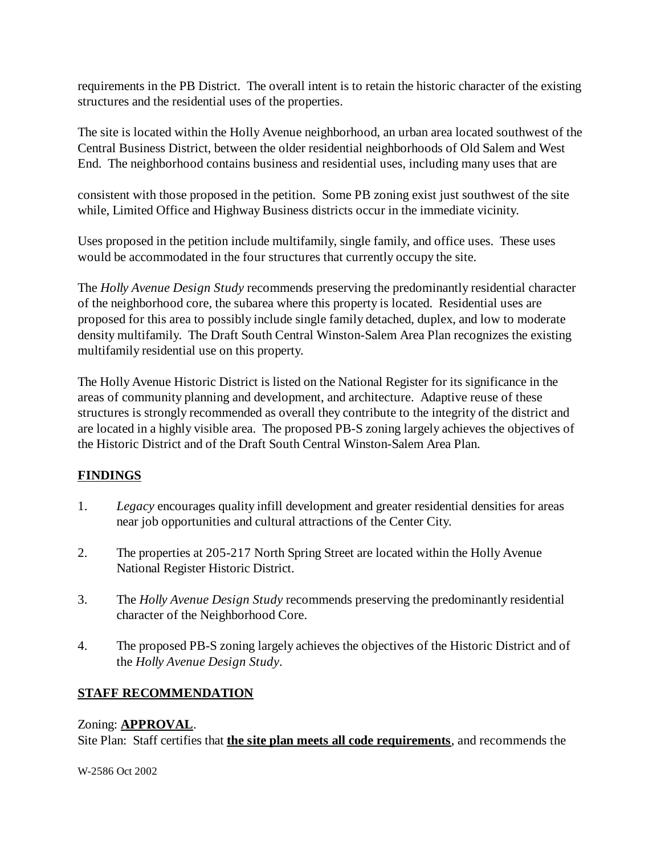requirements in the PB District. The overall intent is to retain the historic character of the existing structures and the residential uses of the properties.

The site is located within the Holly Avenue neighborhood, an urban area located southwest of the Central Business District, between the older residential neighborhoods of Old Salem and West End. The neighborhood contains business and residential uses, including many uses that are

consistent with those proposed in the petition. Some PB zoning exist just southwest of the site while, Limited Office and Highway Business districts occur in the immediate vicinity.

Uses proposed in the petition include multifamily, single family, and office uses. These uses would be accommodated in the four structures that currently occupy the site.

The *Holly Avenue Design Study* recommends preserving the predominantly residential character of the neighborhood core, the subarea where this property is located. Residential uses are proposed for this area to possibly include single family detached, duplex, and low to moderate density multifamily. The Draft South Central Winston-Salem Area Plan recognizes the existing multifamily residential use on this property.

The Holly Avenue Historic District is listed on the National Register for its significance in the areas of community planning and development, and architecture. Adaptive reuse of these structures is strongly recommended as overall they contribute to the integrity of the district and are located in a highly visible area. The proposed PB-S zoning largely achieves the objectives of the Historic District and of the Draft South Central Winston-Salem Area Plan.

## **FINDINGS**

- 1. *Legacy* encourages quality infill development and greater residential densities for areas near job opportunities and cultural attractions of the Center City.
- 2. The properties at 205-217 North Spring Street are located within the Holly Avenue National Register Historic District.
- 3. The *Holly Avenue Design Study* recommends preserving the predominantly residential character of the Neighborhood Core.
- 4. The proposed PB-S zoning largely achieves the objectives of the Historic District and of the *Holly Avenue Design Study*.

# **STAFF RECOMMENDATION**

## Zoning: **APPROVAL**.

Site Plan: Staff certifies that **the site plan meets all code requirements**, and recommends the